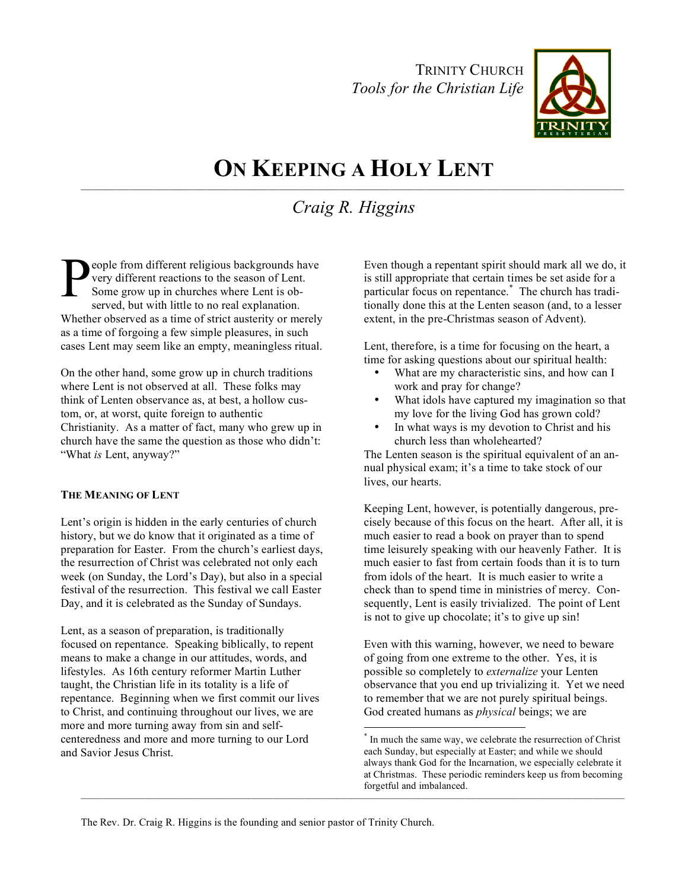TRINITY CHURCH *Tools for the Christian Life*



## **ON KEEPING A HOLY LENT** ————————————————————————————————————————————

# *Craig R. Higgins*

eople from different religious backgrounds have very different reactions to the season of Lent. Some grow up in churches where Lent is observed, but with little to no real explanation. Whether observed as a time of strict austerity or merely as a time of forgoing a few simple pleasures, in such cases Lent may seem like an empty, meaningless ritual. P

On the other hand, some grow up in church traditions where Lent is not observed at all. These folks may think of Lenten observance as, at best, a hollow custom, or, at worst, quite foreign to authentic Christianity. As a matter of fact, many who grew up in church have the same the question as those who didn't: "What *is* Lent, anyway?"

#### **THE MEANING OF LENT**

Lent's origin is hidden in the early centuries of church history, but we do know that it originated as a time of preparation for Easter. From the church's earliest days, the resurrection of Christ was celebrated not only each week (on Sunday, the Lord's Day), but also in a special festival of the resurrection. This festival we call Easter Day, and it is celebrated as the Sunday of Sundays.

Lent, as a season of preparation, is traditionally focused on repentance. Speaking biblically, to repent means to make a change in our attitudes, words, and lifestyles. As 16th century reformer Martin Luther taught, the Christian life in its totality is a life of repentance. Beginning when we first commit our lives to Christ, and continuing throughout our lives, we are more and more turning away from sin and selfcenteredness and more and more turning to our Lord and Savior Jesus Christ.

Even though a repentant spirit should mark all we do, it is still appropriate that certain times be set aside for a particular focus on repentance. \* The church has traditionally done this at the Lenten season (and, to a lesser extent, in the pre-Christmas season of Advent).

Lent, therefore, is a time for focusing on the heart, a time for asking questions about our spiritual health:

- What are my characteristic sins, and how can I work and pray for change?
- What idols have captured my imagination so that my love for the living God has grown cold?
- In what ways is my devotion to Christ and his church less than wholehearted?

The Lenten season is the spiritual equivalent of an annual physical exam; it's a time to take stock of our lives, our hearts.

Keeping Lent, however, is potentially dangerous, precisely because of this focus on the heart. After all, it is much easier to read a book on prayer than to spend time leisurely speaking with our heavenly Father. It is much easier to fast from certain foods than it is to turn from idols of the heart. It is much easier to write a check than to spend time in ministries of mercy. Consequently, Lent is easily trivialized. The point of Lent is not to give up chocolate; it's to give up sin!

Even with this warning, however, we need to beware of going from one extreme to the other. Yes, it is possible so completely to *externalize* your Lenten observance that you end up trivializing it. Yet we need to remember that we are not purely spiritual beings. God created humans as *physical* beings; we are

The Rev. Dr. Craig R. Higgins is the founding and senior pastor of Trinity Church.

———————————————————————————————————————————————————

In much the same way, we celebrate the resurrection of Christ each Sunday, but especially at Easter; and while we should always thank God for the Incarnation, we especially celebrate it at Christmas. These periodic reminders keep us from becoming forgetful and imbalanced.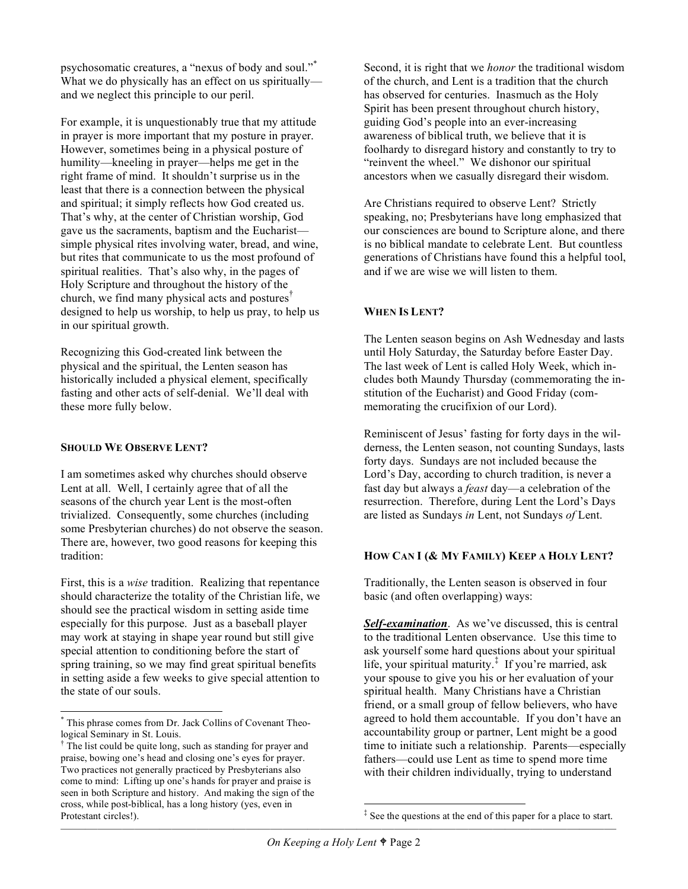psychosomatic creatures, a "nexus of body and soul."<sup>\*</sup> What we do physically has an effect on us spiritually and we neglect this principle to our peril.

For example, it is unquestionably true that my attitude in prayer is more important that my posture in prayer. However, sometimes being in a physical posture of humility—kneeling in prayer—helps me get in the right frame of mind. It shouldn't surprise us in the least that there is a connection between the physical and spiritual; it simply reflects how God created us. That's why, at the center of Christian worship, God gave us the sacraments, baptism and the Eucharist simple physical rites involving water, bread, and wine, but rites that communicate to us the most profound of spiritual realities. That's also why, in the pages of Holy Scripture and throughout the history of the church, we find many physical acts and postures † designed to help us worship, to help us pray, to help us in our spiritual growth.

Recognizing this God-created link between the physical and the spiritual, the Lenten season has historically included a physical element, specifically fasting and other acts of self-denial. We'll deal with these more fully below.

#### **SHOULD WE OBSERVE LENT?**

I am sometimes asked why churches should observe Lent at all. Well, I certainly agree that of all the seasons of the church year Lent is the most-often trivialized. Consequently, some churches (including some Presbyterian churches) do not observe the season. There are, however, two good reasons for keeping this tradition:

First, this is a *wise* tradition. Realizing that repentance should characterize the totality of the Christian life, we should see the practical wisdom in setting aside time especially for this purpose. Just as a baseball player may work at staying in shape year round but still give special attention to conditioning before the start of spring training, so we may find great spiritual benefits in setting aside a few weeks to give special attention to the state of our souls.

Second, it is right that we *honor* the traditional wisdom of the church, and Lent is a tradition that the church has observed for centuries. Inasmuch as the Holy Spirit has been present throughout church history, guiding God's people into an ever-increasing awareness of biblical truth, we believe that it is foolhardy to disregard history and constantly to try to "reinvent the wheel." We dishonor our spiritual ancestors when we casually disregard their wisdom.

Are Christians required to observe Lent? Strictly speaking, no; Presbyterians have long emphasized that our consciences are bound to Scripture alone, and there is no biblical mandate to celebrate Lent. But countless generations of Christians have found this a helpful tool, and if we are wise we will listen to them.

### **WHEN IS LENT?**

The Lenten season begins on Ash Wednesday and lasts until Holy Saturday, the Saturday before Easter Day. The last week of Lent is called Holy Week, which includes both Maundy Thursday (commemorating the institution of the Eucharist) and Good Friday (commemorating the crucifixion of our Lord).

Reminiscent of Jesus' fasting for forty days in the wilderness, the Lenten season, not counting Sundays, lasts forty days. Sundays are not included because the Lord's Day, according to church tradition, is never a fast day but always a *feast* day—a celebration of the resurrection. Therefore, during Lent the Lord's Days are listed as Sundays *in* Lent, not Sundays *of* Lent.

#### **HOW CAN I (& MY FAMILY) KEEP A HOLY LENT?**

Traditionally, the Lenten season is observed in four basic (and often overlapping) ways:

*Self-examination*. As we've discussed, this is central to the traditional Lenten observance. Use this time to ask yourself some hard questions about your spiritual life, your spiritual maturity. ‡ If you're married, ask your spouse to give you his or her evaluation of your spiritual health. Many Christians have a Christian friend, or a small group of fellow believers, who have agreed to hold them accountable. If you don't have an accountability group or partner, Lent might be a good time to initiate such a relationship. Parents—especially fathers—could use Lent as time to spend more time with their children individually, trying to understand

 <sup>\*</sup> This phrase comes from Dr. Jack Collins of Covenant Theological Seminary in St. Louis.<br><sup>†</sup> The list could be quite long, such as standing for prayer and

praise, bowing one's head and closing one's eyes for prayer. Two practices not generally practiced by Presbyterians also come to mind: Lifting up one's hands for prayer and praise is seen in both Scripture and history. And making the sign of the cross, while post-biblical, has a long history (yes, even in Protestant circles!).

<sup>&</sup>lt;sup>‡</sup> See the questions at the end of this paper for a place to start.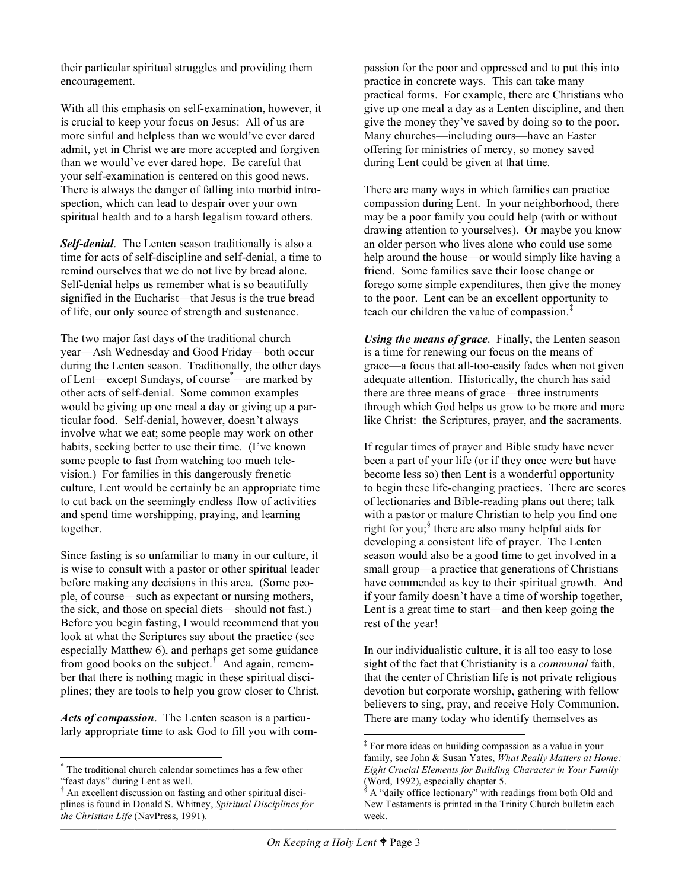their particular spiritual struggles and providing them encouragement.

With all this emphasis on self-examination, however, it is crucial to keep your focus on Jesus: All of us are more sinful and helpless than we would've ever dared admit, yet in Christ we are more accepted and forgiven than we would've ever dared hope. Be careful that your self-examination is centered on this good news. There is always the danger of falling into morbid introspection, which can lead to despair over your own spiritual health and to a harsh legalism toward others.

*Self-denial*. The Lenten season traditionally is also a time for acts of self-discipline and self-denial, a time to remind ourselves that we do not live by bread alone. Self-denial helps us remember what is so beautifully signified in the Eucharist—that Jesus is the true bread of life, our only source of strength and sustenance.

The two major fast days of the traditional church year—Ash Wednesday and Good Friday—both occur during the Lenten season. Traditionally, the other days of Lent—except Sundays, of course<sup>\*</sup>—are marked by other acts of self-denial. Some common examples would be giving up one meal a day or giving up a particular food. Self-denial, however, doesn't always involve what we eat; some people may work on other habits, seeking better to use their time. (I've known some people to fast from watching too much television.) For families in this dangerously frenetic culture, Lent would be certainly be an appropriate time to cut back on the seemingly endless flow of activities and spend time worshipping, praying, and learning together.

Since fasting is so unfamiliar to many in our culture, it is wise to consult with a pastor or other spiritual leader before making any decisions in this area. (Some people, of course—such as expectant or nursing mothers, the sick, and those on special diets—should not fast.) Before you begin fasting, I would recommend that you look at what the Scriptures say about the practice (see especially Matthew 6), and perhaps get some guidance from good books on the subject. † And again, remember that there is nothing magic in these spiritual disciplines; they are tools to help you grow closer to Christ.

*Acts of compassion*. The Lenten season is a particularly appropriate time to ask God to fill you with compassion for the poor and oppressed and to put this into practice in concrete ways. This can take many practical forms. For example, there are Christians who give up one meal a day as a Lenten discipline, and then give the money they've saved by doing so to the poor. Many churches—including ours—have an Easter offering for ministries of mercy, so money saved during Lent could be given at that time.

There are many ways in which families can practice compassion during Lent. In your neighborhood, there may be a poor family you could help (with or without drawing attention to yourselves). Or maybe you know an older person who lives alone who could use some help around the house—or would simply like having a friend. Some families save their loose change or forego some simple expenditures, then give the money to the poor. Lent can be an excellent opportunity to teach our children the value of compassion. ‡

*Using the means of grace*. Finally, the Lenten season is a time for renewing our focus on the means of grace—a focus that all-too-easily fades when not given adequate attention. Historically, the church has said there are three means of grace—three instruments through which God helps us grow to be more and more like Christ: the Scriptures, prayer, and the sacraments.

If regular times of prayer and Bible study have never been a part of your life (or if they once were but have become less so) then Lent is a wonderful opportunity to begin these life-changing practices. There are scores of lectionaries and Bible-reading plans out there; talk with a pastor or mature Christian to help you find one right for you; § there are also many helpful aids for developing a consistent life of prayer. The Lenten season would also be a good time to get involved in a small group—a practice that generations of Christians have commended as key to their spiritual growth. And if your family doesn't have a time of worship together, Lent is a great time to start—and then keep going the rest of the year!

In our individualistic culture, it is all too easy to lose sight of the fact that Christianity is a *communal* faith, that the center of Christian life is not private religious devotion but corporate worship, gathering with fellow believers to sing, pray, and receive Holy Communion. There are many today who identify themselves as

 <sup>\*</sup> The traditional church calendar sometimes has <sup>a</sup> few other "feast days" during Lent as well.<br> $^{\dagger}$  An excellent discussion on fasting and other spiritual disci-

plines is found in Donald S. Whitney, *Spiritual Disciplines for the Christian Life* (NavPress, 1991).

 <sup>‡</sup> For more ideas on building compassion as <sup>a</sup> value in your family, see John & Susan Yates, *What Really Matters at Home: Eight Crucial Elements for Building Character in Your Family* (Word, 1992), especially chapter 5.<br> $\frac{1}{3}$  A "daily office lectionary" with readings from both Old and

New Testaments is printed in the Trinity Church bulletin each week.